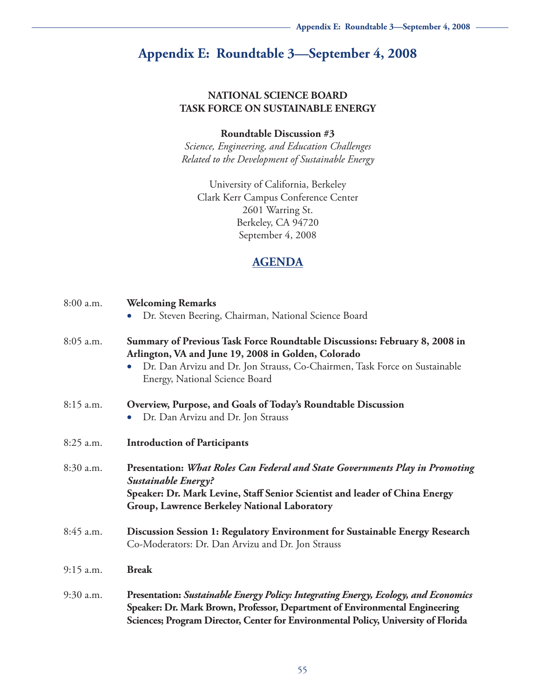# **Appendix E: Roundtable 3—September 4, 2008**

#### **NATIONAL SCIENCE BOARD TASK FORCE ON SUSTAINABLE ENERGY**

#### **Roundtable Discussion #3**

*Science, Engineering, and Education Challenges Related to the Development of Sustainable Energy*

University of California, Berkeley Clark Kerr Campus Conference Center 2601 Warring St. Berkeley, CA 94720 September 4, 2008

### **AGENDA**

| $8:00$ a.m. | <b>Welcoming Remarks</b><br>Dr. Steven Beering, Chairman, National Science Board<br>$\bullet$                                                                                                                                                            |  |
|-------------|----------------------------------------------------------------------------------------------------------------------------------------------------------------------------------------------------------------------------------------------------------|--|
| 8:05 a.m.   | Summary of Previous Task Force Roundtable Discussions: February 8, 2008 in<br>Arlington, VA and June 19, 2008 in Golden, Colorado<br>Dr. Dan Arvizu and Dr. Jon Strauss, Co-Chairmen, Task Force on Sustainable<br>Energy, National Science Board        |  |
| 8:15 a.m.   | Overview, Purpose, and Goals of Today's Roundtable Discussion<br>Dr. Dan Arvizu and Dr. Jon Strauss                                                                                                                                                      |  |
| 8:25 a.m.   | <b>Introduction of Participants</b>                                                                                                                                                                                                                      |  |
| 8:30 a.m.   | Presentation: What Roles Can Federal and State Governments Play in Promoting<br>Sustainable Energy?<br>Speaker: Dr. Mark Levine, Staff Senior Scientist and leader of China Energy<br>Group, Lawrence Berkeley National Laboratory                       |  |
| 8:45 a.m.   | Discussion Session 1: Regulatory Environment for Sustainable Energy Research<br>Co-Moderators: Dr. Dan Arvizu and Dr. Jon Strauss                                                                                                                        |  |
| $9:15$ a.m. | <b>Break</b>                                                                                                                                                                                                                                             |  |
| 9:30 a.m.   | Presentation: Sustainable Energy Policy: Integrating Energy, Ecology, and Economics<br>Speaker: Dr. Mark Brown, Professor, Department of Environmental Engineering<br>Sciences; Program Director, Center for Environmental Policy, University of Florida |  |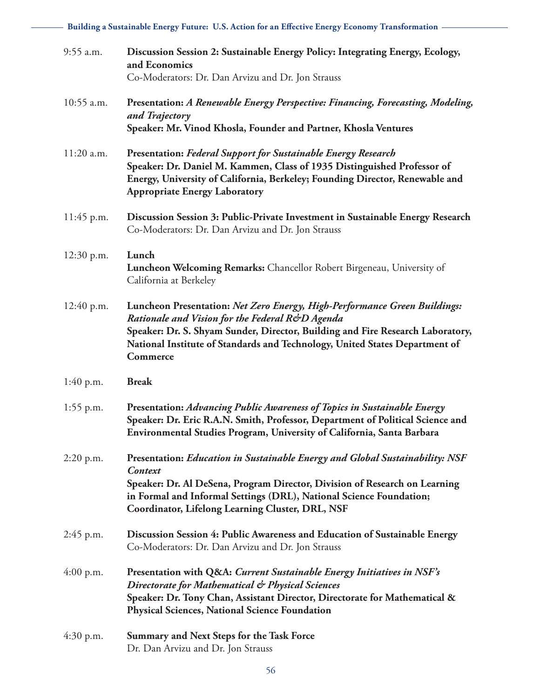**Building a Sustainable Energy Future: U.S. Action for an Effective Energy Economy Transformation**

| $9:55$ a.m. | Discussion Session 2: Sustainable Energy Policy: Integrating Energy, Ecology,<br>and Economics<br>Co-Moderators: Dr. Dan Arvizu and Dr. Jon Strauss                                                                                                                                                            |
|-------------|----------------------------------------------------------------------------------------------------------------------------------------------------------------------------------------------------------------------------------------------------------------------------------------------------------------|
| 10:55 a.m.  | Presentation: A Renewable Energy Perspective: Financing, Forecasting, Modeling,<br>and Trajectory<br>Speaker: Mr. Vinod Khosla, Founder and Partner, Khosla Ventures                                                                                                                                           |
| 11:20 a.m.  | <b>Presentation: Federal Support for Sustainable Energy Research</b><br>Speaker: Dr. Daniel M. Kammen, Class of 1935 Distinguished Professor of<br>Energy, University of California, Berkeley; Founding Director, Renewable and<br><b>Appropriate Energy Laboratory</b>                                        |
| 11:45 p.m.  | Discussion Session 3: Public-Private Investment in Sustainable Energy Research<br>Co-Moderators: Dr. Dan Arvizu and Dr. Jon Strauss                                                                                                                                                                            |
| 12:30 p.m.  | Lunch<br>Luncheon Welcoming Remarks: Chancellor Robert Birgeneau, University of<br>California at Berkeley                                                                                                                                                                                                      |
| 12:40 p.m.  | Luncheon Presentation: Net Zero Energy, High-Performance Green Buildings:<br>Rationale and Vision for the Federal R&D Agenda<br>Speaker: Dr. S. Shyam Sunder, Director, Building and Fire Research Laboratory,<br>National Institute of Standards and Technology, United States Department of<br>Commerce      |
| $1:40$ p.m. | <b>Break</b>                                                                                                                                                                                                                                                                                                   |
| $1:55$ p.m. | Presentation: Advancing Public Awareness of Topics in Sustainable Energy<br>Speaker: Dr. Eric R.A.N. Smith, Professor, Department of Political Science and<br>Environmental Studies Program, University of California, Santa Barbara                                                                           |
| $2:20$ p.m. | Presentation: Education in Sustainable Energy and Global Sustainability: NSF<br><b>Context</b><br>Speaker: Dr. Al DeSena, Program Director, Division of Research on Learning<br>in Formal and Informal Settings (DRL), National Science Foundation;<br><b>Coordinator, Lifelong Learning Cluster, DRL, NSF</b> |
| $2:45$ p.m. | Discussion Session 4: Public Awareness and Education of Sustainable Energy<br>Co-Moderators: Dr. Dan Arvizu and Dr. Jon Strauss                                                                                                                                                                                |
| $4:00$ p.m. | Presentation with Q&A: Current Sustainable Energy Initiatives in NSF's<br>Directorate for Mathematical & Physical Sciences<br>Speaker: Dr. Tony Chan, Assistant Director, Directorate for Mathematical &<br><b>Physical Sciences, National Science Foundation</b>                                              |
| $4:30$ p.m. | <b>Summary and Next Steps for the Task Force</b><br>Dr. Dan Arvizu and Dr. Jon Strauss                                                                                                                                                                                                                         |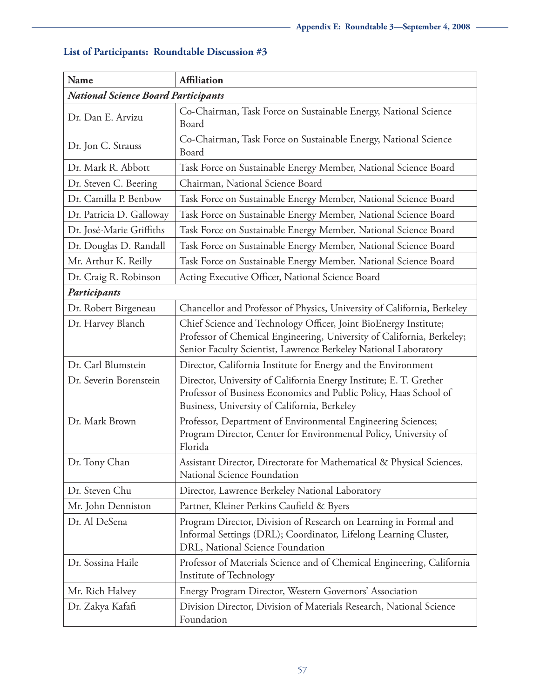| Name                                       | <b>Affiliation</b>                                                                                                                                                                                            |  |  |  |
|--------------------------------------------|---------------------------------------------------------------------------------------------------------------------------------------------------------------------------------------------------------------|--|--|--|
| <b>National Science Board Participants</b> |                                                                                                                                                                                                               |  |  |  |
| Dr. Dan E. Arvizu                          | Co-Chairman, Task Force on Sustainable Energy, National Science<br>Board                                                                                                                                      |  |  |  |
| Dr. Jon C. Strauss                         | Co-Chairman, Task Force on Sustainable Energy, National Science<br>Board                                                                                                                                      |  |  |  |
| Dr. Mark R. Abbott                         | Task Force on Sustainable Energy Member, National Science Board                                                                                                                                               |  |  |  |
| Dr. Steven C. Beering                      | Chairman, National Science Board                                                                                                                                                                              |  |  |  |
| Dr. Camilla P. Benbow                      | Task Force on Sustainable Energy Member, National Science Board                                                                                                                                               |  |  |  |
| Dr. Patricia D. Galloway                   | Task Force on Sustainable Energy Member, National Science Board                                                                                                                                               |  |  |  |
| Dr. José-Marie Griffiths                   | Task Force on Sustainable Energy Member, National Science Board                                                                                                                                               |  |  |  |
| Dr. Douglas D. Randall                     | Task Force on Sustainable Energy Member, National Science Board                                                                                                                                               |  |  |  |
| Mr. Arthur K. Reilly                       | Task Force on Sustainable Energy Member, National Science Board                                                                                                                                               |  |  |  |
| Dr. Craig R. Robinson                      | Acting Executive Officer, National Science Board                                                                                                                                                              |  |  |  |
| Participants                               |                                                                                                                                                                                                               |  |  |  |
| Dr. Robert Birgeneau                       | Chancellor and Professor of Physics, University of California, Berkeley                                                                                                                                       |  |  |  |
| Dr. Harvey Blanch                          | Chief Science and Technology Officer, Joint BioEnergy Institute;<br>Professor of Chemical Engineering, University of California, Berkeley;<br>Senior Faculty Scientist, Lawrence Berkeley National Laboratory |  |  |  |
| Dr. Carl Blumstein                         | Director, California Institute for Energy and the Environment                                                                                                                                                 |  |  |  |
| Dr. Severin Borenstein                     | Director, University of California Energy Institute; E. T. Grether<br>Professor of Business Economics and Public Policy, Haas School of<br>Business, University of California, Berkeley                       |  |  |  |
| Dr. Mark Brown                             | Professor, Department of Environmental Engineering Sciences;<br>Program Director, Center for Environmental Policy, University of<br>Florida                                                                   |  |  |  |
| Dr. Tony Chan                              | Assistant Director, Directorate for Mathematical & Physical Sciences,<br>National Science Foundation                                                                                                          |  |  |  |
| Dr. Steven Chu                             | Director, Lawrence Berkeley National Laboratory                                                                                                                                                               |  |  |  |
| Mr. John Denniston                         | Partner, Kleiner Perkins Caufield & Byers                                                                                                                                                                     |  |  |  |
| Dr. Al DeSena                              | Program Director, Division of Research on Learning in Formal and<br>Informal Settings (DRL); Coordinator, Lifelong Learning Cluster,<br>DRL, National Science Foundation                                      |  |  |  |
| Dr. Sossina Haile                          | Professor of Materials Science and of Chemical Engineering, California<br>Institute of Technology                                                                                                             |  |  |  |
| Mr. Rich Halvey                            | Energy Program Director, Western Governors' Association                                                                                                                                                       |  |  |  |
| Dr. Zakya Kafafi                           | Division Director, Division of Materials Research, National Science<br>Foundation                                                                                                                             |  |  |  |

## **List of Participants: Roundtable Discussion #3**